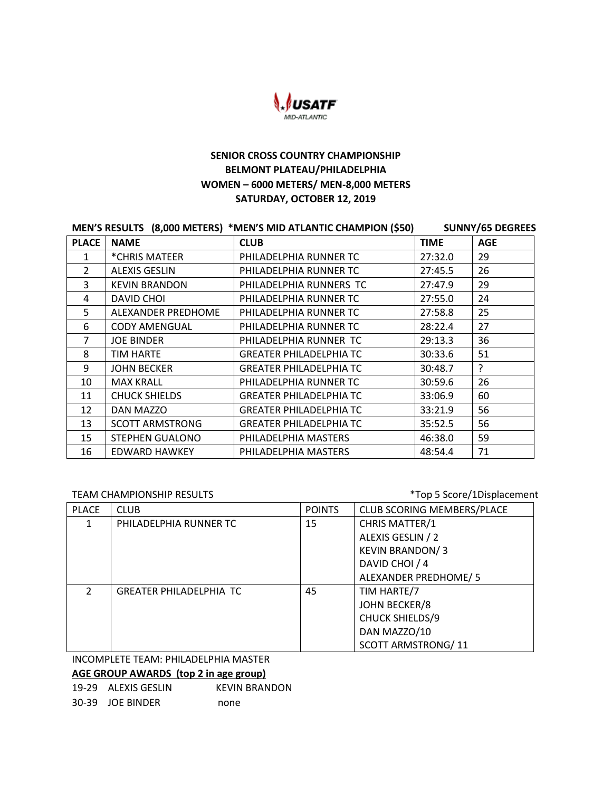

# **SENIOR CROSS COUNTRY CHAMPIONSHIP BELMONT PLATEAU/PHILADELPHIA WOMEN – 6000 METERS/ MEN-8,000 METERS SATURDAY, OCTOBER 12, 2019**

| MEN'S RESULTS (8,000 METERS) *MEN'S MID ATLANTIC CHAMPION (\$50) |                        |                                | <b>SUNNY/65 DEGREES</b> |            |
|------------------------------------------------------------------|------------------------|--------------------------------|-------------------------|------------|
| <b>PLACE</b>                                                     | <b>NAME</b>            | <b>CLUB</b>                    | <b>TIME</b>             | <b>AGE</b> |
| 1                                                                | *CHRIS MATEER          | PHILADELPHIA RUNNER TC         | 27:32.0                 | 29         |
| $\mathfrak{p}$                                                   | <b>ALEXIS GESLIN</b>   | PHILADELPHIA RUNNER TC         | 27:45.5                 | 26         |
| 3                                                                | <b>KEVIN BRANDON</b>   | PHILADELPHIA RUNNERS TC        | 27:47.9                 | 29         |
| 4                                                                | DAVID CHOI             | PHILADELPHIA RUNNER TC         | 27:55.0                 | 24         |
| 5                                                                | ALEXANDER PREDHOME     | PHILADELPHIA RUNNER TC         | 27:58.8                 | 25         |
| 6                                                                | <b>CODY AMENGUAL</b>   | PHILADELPHIA RUNNER TC         | 28:22.4                 | 27         |
| 7                                                                | <b>JOE BINDER</b>      | PHILADELPHIA RUNNER TC         | 29:13.3                 | 36         |
| 8                                                                | TIM HARTE              | <b>GREATER PHILADELPHIA TC</b> | 30:33.6                 | 51         |
| 9                                                                | <b>JOHN BECKER</b>     | <b>GREATER PHILADELPHIA TC</b> | 30:48.7                 | ?          |
| 10                                                               | <b>MAX KRALL</b>       | PHILADELPHIA RUNNER TC         | 30:59.6                 | 26         |
| 11                                                               | <b>CHUCK SHIELDS</b>   | <b>GREATER PHILADELPHIA TC</b> | 33:06.9                 | 60         |
| 12                                                               | DAN MAZZO              | <b>GREATER PHILADELPHIA TC</b> | 33:21.9                 | 56         |
| 13                                                               | <b>SCOTT ARMSTRONG</b> | <b>GREATER PHILADELPHIA TC</b> | 35:52.5                 | 56         |
| 15                                                               | STEPHEN GUALONO        | PHILADELPHIA MASTERS           | 46:38.0                 | 59         |
| 16                                                               | <b>EDWARD HAWKEY</b>   | PHILADELPHIA MASTERS           | 48:54.4                 | 71         |

TEAM CHAMPIONSHIP RESULTS TEAM CHAMPIONSHIP RESULTS

| <b>PLACE</b>  | <b>CLUB</b>                    | <b>POINTS</b> | CLUB SCORING MEMBERS/PLACE |
|---------------|--------------------------------|---------------|----------------------------|
|               | PHILADELPHIA RUNNER TC         | 15            | CHRIS MATTER/1             |
|               |                                |               | ALEXIS GESLIN / 2          |
|               |                                |               | <b>KEVIN BRANDON/3</b>     |
|               |                                |               | DAVID CHOI / 4             |
|               |                                |               | ALEXANDER PREDHOME/5       |
| $\mathcal{P}$ | <b>GREATER PHILADELPHIA TC</b> | 45            | TIM HARTE/7                |
|               |                                |               | <b>JOHN BECKER/8</b>       |
|               |                                |               | CHUCK SHIELDS/9            |
|               |                                |               | DAN MAZZO/10               |
|               |                                |               | <b>SCOTT ARMSTRONG/11</b>  |

INCOMPLETE TEAM: PHILADELPHIA MASTER

**AGE GROUP AWARDS (top 2 in age group)**

| 19-29 ALEXIS GESLIN | KEVIN BRANDON |
|---------------------|---------------|
| 30-39 JOE BINDER    | none          |